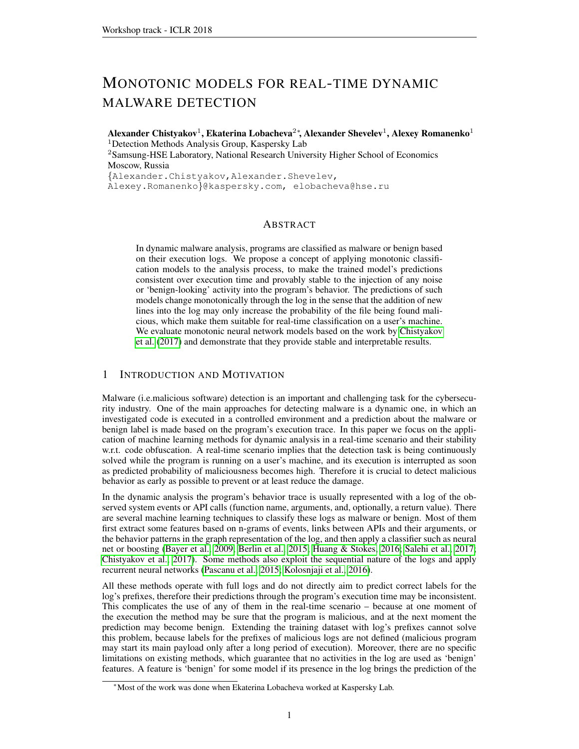# MONOTONIC MODELS FOR REAL-TIME DYNAMIC MALWARE DETECTION

Alexander Chistyakov $^1$ , Ekaterina Lobacheva $^{2*}$ , Alexander Shevelev $^1$ , Alexey Romanenko $^1$ <sup>1</sup>Detection Methods Analysis Group, Kaspersky Lab <sup>2</sup>Samsung-HSE Laboratory, National Research University Higher School of Economics Moscow, Russia

{Alexander.Chistyakov,Alexander.Shevelev,

Alexey.Romanenko}@kaspersky.com, elobacheva@hse.ru

### ABSTRACT

In dynamic malware analysis, programs are classified as malware or benign based on their execution logs. We propose a concept of applying monotonic classification models to the analysis process, to make the trained model's predictions consistent over execution time and provably stable to the injection of any noise or 'benign-looking' activity into the program's behavior. The predictions of such models change monotonically through the log in the sense that the addition of new lines into the log may only increase the probability of the file being found malicious, which make them suitable for real-time classification on a user's machine. We evaluate monotonic neural network models based on the work by [Chistyakov](#page-3-0) [et al.](#page-3-0) [\(2017\)](#page-3-0) and demonstrate that they provide stable and interpretable results.

# 1 INTRODUCTION AND MOTIVATION

Malware (i.e.malicious software) detection is an important and challenging task for the cybersecurity industry. One of the main approaches for detecting malware is a dynamic one, in which an investigated code is executed in a controlled environment and a prediction about the malware or benign label is made based on the program's execution trace. In this paper we focus on the application of machine learning methods for dynamic analysis in a real-time scenario and their stability w.r.t. code obfuscation. A real-time scenario implies that the detection task is being continuously solved while the program is running on a user's machine, and its execution is interrupted as soon as predicted probability of maliciousness becomes high. Therefore it is crucial to detect malicious behavior as early as possible to prevent or at least reduce the damage.

In the dynamic analysis the program's behavior trace is usually represented with a log of the observed system events or API calls (function name, arguments, and, optionally, a return value). There are several machine learning techniques to classify these logs as malware or benign. Most of them first extract some features based on n-grams of events, links between APIs and their arguments, or the behavior patterns in the graph representation of the log, and then apply a classifier such as neural net or boosting [\(Bayer et al., 2009;](#page-3-1) [Berlin et al., 2015;](#page-3-2) [Huang & Stokes, 2016;](#page-3-3) [Salehi et al., 2017;](#page-3-4) [Chistyakov et al., 2017\)](#page-3-0). Some methods also exploit the sequential nature of the logs and apply recurrent neural networks [\(Pascanu et al., 2015;](#page-3-5) [Kolosnjaji et al., 2016\)](#page-3-6).

All these methods operate with full logs and do not directly aim to predict correct labels for the log's prefixes, therefore their predictions through the program's execution time may be inconsistent. This complicates the use of any of them in the real-time scenario – because at one moment of the execution the method may be sure that the program is malicious, and at the next moment the prediction may become benign. Extending the training dataset with log's prefixes cannot solve this problem, because labels for the prefixes of malicious logs are not defined (malicious program may start its main payload only after a long period of execution). Moreover, there are no specific limitations on existing methods, which guarantee that no activities in the log are used as 'benign' features. A feature is 'benign' for some model if its presence in the log brings the prediction of the

<sup>∗</sup>Most of the work was done when Ekaterina Lobacheva worked at Kaspersky Lab.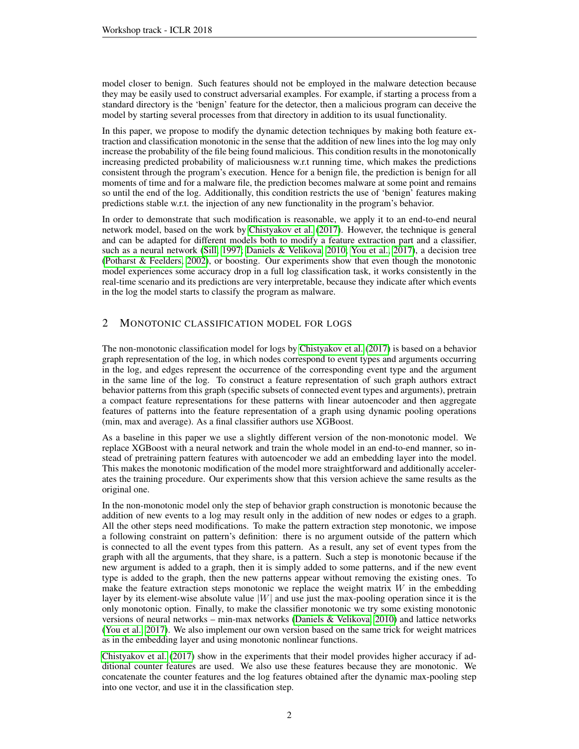model closer to benign. Such features should not be employed in the malware detection because they may be easily used to construct adversarial examples. For example, if starting a process from a standard directory is the 'benign' feature for the detector, then a malicious program can deceive the model by starting several processes from that directory in addition to its usual functionality.

In this paper, we propose to modify the dynamic detection techniques by making both feature extraction and classification monotonic in the sense that the addition of new lines into the log may only increase the probability of the file being found malicious. This condition results in the monotonically increasing predicted probability of maliciousness w.r.t running time, which makes the predictions consistent through the program's execution. Hence for a benign file, the prediction is benign for all moments of time and for a malware file, the prediction becomes malware at some point and remains so until the end of the log. Additionally, this condition restricts the use of 'benign' features making predictions stable w.r.t. the injection of any new functionality in the program's behavior.

In order to demonstrate that such modification is reasonable, we apply it to an end-to-end neural network model, based on the work by [Chistyakov et al.](#page-3-0) [\(2017\)](#page-3-0). However, the technique is general and can be adapted for different models both to modify a feature extraction part and a classifier, such as a neural network [\(Sill, 1997;](#page-3-7) [Daniels & Velikova, 2010;](#page-3-8) [You et al., 2017\)](#page-3-9), a decision tree [\(Potharst & Feelders, 2002\)](#page-3-10), or boosting. Our experiments show that even though the monotonic model experiences some accuracy drop in a full log classification task, it works consistently in the real-time scenario and its predictions are very interpretable, because they indicate after which events in the log the model starts to classify the program as malware.

# 2 MONOTONIC CLASSIFICATION MODEL FOR LOGS

The non-monotonic classification model for logs by [Chistyakov et al.](#page-3-0) [\(2017\)](#page-3-0) is based on a behavior graph representation of the log, in which nodes correspond to event types and arguments occurring in the log, and edges represent the occurrence of the corresponding event type and the argument in the same line of the log. To construct a feature representation of such graph authors extract behavior patterns from this graph (specific subsets of connected event types and arguments), pretrain a compact feature representations for these patterns with linear autoencoder and then aggregate features of patterns into the feature representation of a graph using dynamic pooling operations (min, max and average). As a final classifier authors use XGBoost.

As a baseline in this paper we use a slightly different version of the non-monotonic model. We replace XGBoost with a neural network and train the whole model in an end-to-end manner, so instead of pretraining pattern features with autoencoder we add an embedding layer into the model. This makes the monotonic modification of the model more straightforward and additionally accelerates the training procedure. Our experiments show that this version achieve the same results as the original one.

In the non-monotonic model only the step of behavior graph construction is monotonic because the addition of new events to a log may result only in the addition of new nodes or edges to a graph. All the other steps need modifications. To make the pattern extraction step monotonic, we impose a following constraint on pattern's definition: there is no argument outside of the pattern which is connected to all the event types from this pattern. As a result, any set of event types from the graph with all the arguments, that they share, is a pattern. Such a step is monotonic because if the new argument is added to a graph, then it is simply added to some patterns, and if the new event type is added to the graph, then the new patterns appear without removing the existing ones. To make the feature extraction steps monotonic we replace the weight matrix  $W$  in the embedding layer by its element-wise absolute value  $|W|$  and use just the max-pooling operation since it is the only monotonic option. Finally, to make the classifier monotonic we try some existing monotonic versions of neural networks – min-max networks [\(Daniels & Velikova, 2010\)](#page-3-8) and lattice networks [\(You et al., 2017\)](#page-3-9). We also implement our own version based on the same trick for weight matrices as in the embedding layer and using monotonic nonlinear functions.

[Chistyakov et al.](#page-3-0) [\(2017\)](#page-3-0) show in the experiments that their model provides higher accuracy if additional counter features are used. We also use these features because they are monotonic. We concatenate the counter features and the log features obtained after the dynamic max-pooling step into one vector, and use it in the classification step.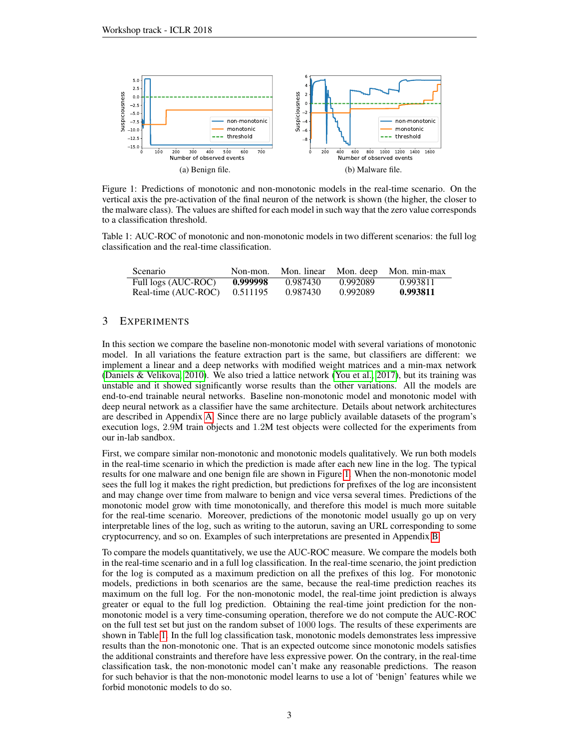<span id="page-2-0"></span>

Figure 1: Predictions of monotonic and non-monotonic models in the real-time scenario. On the vertical axis the pre-activation of the final neuron of the network is shown (the higher, the closer to the malware class). The values are shifted for each model in such way that the zero value corresponds to a classification threshold.

<span id="page-2-1"></span>Table 1: AUC-ROC of monotonic and non-monotonic models in two different scenarios: the full log classification and the real-time classification.

| <b>Scenario</b>                | Non-mon. |          |          | Mon. linear Mon. deep Mon. min-max |
|--------------------------------|----------|----------|----------|------------------------------------|
| Full logs (AUC-ROC)            | 0.999998 | 0.987430 | 0.992089 | 0.993811                           |
| Real-time $(AUC-ROC)$ 0.511195 |          | 0.987430 | 0.992089 | 0.993811                           |

### 3 EXPERIMENTS

In this section we compare the baseline non-monotonic model with several variations of monotonic model. In all variations the feature extraction part is the same, but classifiers are different: we implement a linear and a deep networks with modified weight matrices and a min-max network [\(Daniels & Velikova, 2010\)](#page-3-8). We also tried a lattice network [\(You et al., 2017\)](#page-3-9), but its training was unstable and it showed significantly worse results than the other variations. All the models are end-to-end trainable neural networks. Baseline non-monotonic model and monotonic model with deep neural network as a classifier have the same architecture. Details about network architectures are described in Appendix [A.](#page-4-0) Since there are no large publicly available datasets of the program's execution logs, 2.9M train objects and 1.2M test objects were collected for the experiments from our in-lab sandbox.

First, we compare similar non-monotonic and monotonic models qualitatively. We run both models in the real-time scenario in which the prediction is made after each new line in the log. The typical results for one malware and one benign file are shown in Figure [1.](#page-2-0) When the non-monotonic model sees the full log it makes the right prediction, but predictions for prefixes of the log are inconsistent and may change over time from malware to benign and vice versa several times. Predictions of the monotonic model grow with time monotonically, and therefore this model is much more suitable for the real-time scenario. Moreover, predictions of the monotonic model usually go up on very interpretable lines of the log, such as writing to the autorun, saving an URL corresponding to some cryptocurrency, and so on. Examples of such interpretations are presented in Appendix [B.](#page-4-1)

To compare the models quantitatively, we use the AUC-ROC measure. We compare the models both in the real-time scenario and in a full log classification. In the real-time scenario, the joint prediction for the log is computed as a maximum prediction on all the prefixes of this log. For monotonic models, predictions in both scenarios are the same, because the real-time prediction reaches its maximum on the full log. For the non-monotonic model, the real-time joint prediction is always greater or equal to the full log prediction. Obtaining the real-time joint prediction for the nonmonotonic model is a very time-consuming operation, therefore we do not compute the AUC-ROC on the full test set but just on the random subset of 1000 logs. The results of these experiments are shown in Table [1.](#page-2-1) In the full log classification task, monotonic models demonstrates less impressive results than the non-monotonic one. That is an expected outcome since monotonic models satisfies the additional constraints and therefore have less expressive power. On the contrary, in the real-time classification task, the non-monotonic model can't make any reasonable predictions. The reason for such behavior is that the non-monotonic model learns to use a lot of 'benign' features while we forbid monotonic models to do so.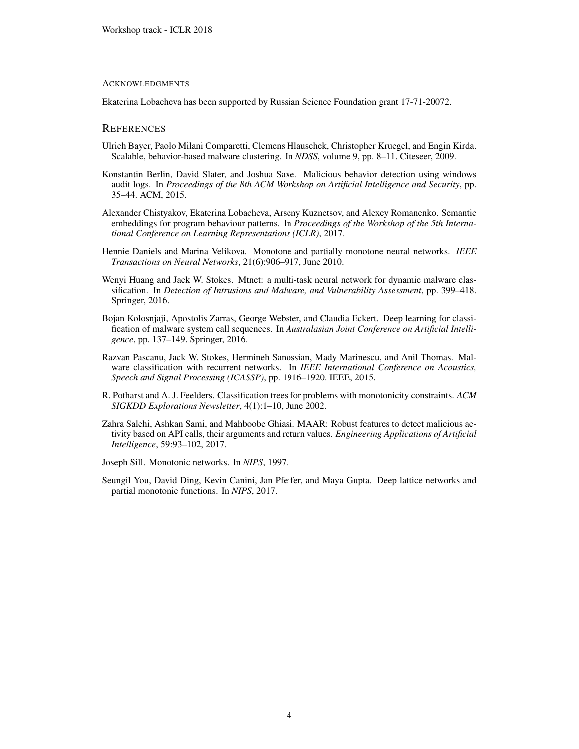#### ACKNOWLEDGMENTS

Ekaterina Lobacheva has been supported by Russian Science Foundation grant 17-71-20072.

#### **REFERENCES**

- <span id="page-3-1"></span>Ulrich Bayer, Paolo Milani Comparetti, Clemens Hlauschek, Christopher Kruegel, and Engin Kirda. Scalable, behavior-based malware clustering. In *NDSS*, volume 9, pp. 8–11. Citeseer, 2009.
- <span id="page-3-2"></span>Konstantin Berlin, David Slater, and Joshua Saxe. Malicious behavior detection using windows audit logs. In *Proceedings of the 8th ACM Workshop on Artificial Intelligence and Security*, pp. 35–44. ACM, 2015.
- <span id="page-3-0"></span>Alexander Chistyakov, Ekaterina Lobacheva, Arseny Kuznetsov, and Alexey Romanenko. Semantic embeddings for program behaviour patterns. In *Proceedings of the Workshop of the 5th International Conference on Learning Representations (ICLR)*, 2017.
- <span id="page-3-8"></span>Hennie Daniels and Marina Velikova. Monotone and partially monotone neural networks. *IEEE Transactions on Neural Networks*, 21(6):906–917, June 2010.
- <span id="page-3-3"></span>Wenyi Huang and Jack W. Stokes. Mtnet: a multi-task neural network for dynamic malware classification. In *Detection of Intrusions and Malware, and Vulnerability Assessment*, pp. 399–418. Springer, 2016.
- <span id="page-3-6"></span>Bojan Kolosnjaji, Apostolis Zarras, George Webster, and Claudia Eckert. Deep learning for classification of malware system call sequences. In *Australasian Joint Conference on Artificial Intelligence*, pp. 137–149. Springer, 2016.
- <span id="page-3-5"></span>Razvan Pascanu, Jack W. Stokes, Hermineh Sanossian, Mady Marinescu, and Anil Thomas. Malware classification with recurrent networks. In *IEEE International Conference on Acoustics, Speech and Signal Processing (ICASSP)*, pp. 1916–1920. IEEE, 2015.
- <span id="page-3-10"></span>R. Potharst and A. J. Feelders. Classification trees for problems with monotonicity constraints. *ACM SIGKDD Explorations Newsletter*, 4(1):1–10, June 2002.
- <span id="page-3-4"></span>Zahra Salehi, Ashkan Sami, and Mahboobe Ghiasi. MAAR: Robust features to detect malicious activity based on API calls, their arguments and return values. *Engineering Applications of Artificial Intelligence*, 59:93–102, 2017.

<span id="page-3-7"></span>Joseph Sill. Monotonic networks. In *NIPS*, 1997.

<span id="page-3-9"></span>Seungil You, David Ding, Kevin Canini, Jan Pfeifer, and Maya Gupta. Deep lattice networks and partial monotonic functions. In *NIPS*, 2017.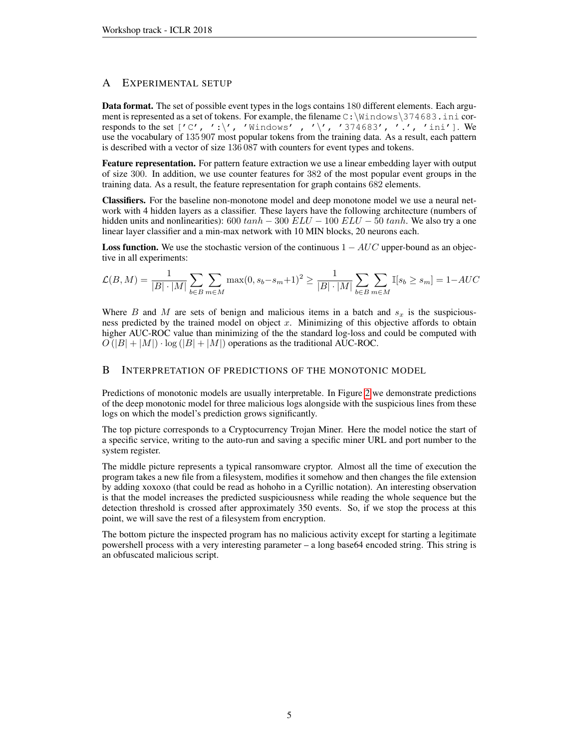# <span id="page-4-0"></span>A EXPERIMENTAL SETUP

Data format. The set of possible event types in the logs contains 180 different elements. Each argument is represented as a set of tokens. For example, the filename C:  $\W$ indows $\374683$ . ini corresponds to the set  $[′C′, '':\rangle′, 'Windows' , ''\rangle′, '374683′, '.'', 'ini'].$  We use the vocabulary of 135 907 most popular tokens from the training data. As a result, each pattern is described with a vector of size 136 087 with counters for event types and tokens.

Feature representation. For pattern feature extraction we use a linear embedding layer with output of size 300. In addition, we use counter features for 382 of the most popular event groups in the training data. As a result, the feature representation for graph contains 682 elements.

Classifiers. For the baseline non-monotone model and deep monotone model we use a neural network with 4 hidden layers as a classifier. These layers have the following architecture (numbers of hidden units and nonlinearities):  $600 \tanh - 300 \tELU - 100 \tELU - 50 \tanh$ . We also try a one linear layer classifier and a min-max network with 10 MIN blocks, 20 neurons each.

**Loss function.** We use the stochastic version of the continuous  $1 - AUC$  upper-bound as an objective in all experiments:

$$
\mathcal{L}(B,M)=\frac{1}{|B|\cdot |M|}\sum_{b\in B}\sum_{m\in M}\max(0,s_b-s_m+1)^2\geq \frac{1}{|B|\cdot |M|}\sum_{b\in B}\sum_{m\in M}\mathbb{I}[s_b\geq s_m]=1- AUC
$$

Where B and M are sets of benign and malicious items in a batch and  $s_x$  is the suspiciousness predicted by the trained model on object  $x$ . Minimizing of this objective affords to obtain higher AUC-ROC value than minimizing of the the standard log-loss and could be computed with  $O(|B| + |M|) \cdot \log(|B| + |M|)$  operations as the traditional AUC-ROC.

## <span id="page-4-1"></span>B INTERPRETATION OF PREDICTIONS OF THE MONOTONIC MODEL

Predictions of monotonic models are usually interpretable. In Figure [2](#page-5-0) we demonstrate predictions of the deep monotonic model for three malicious logs alongside with the suspicious lines from these logs on which the model's prediction grows significantly.

The top picture corresponds to a Cryptocurrency Trojan Miner. Here the model notice the start of a specific service, writing to the auto-run and saving a specific miner URL and port number to the system register.

The middle picture represents a typical ransomware cryptor. Almost all the time of execution the program takes a new file from a filesystem, modifies it somehow and then changes the file extension by adding xoxoxo (that could be read as hohoho in a Cyrillic notation). An interesting observation is that the model increases the predicted suspiciousness while reading the whole sequence but the detection threshold is crossed after approximately 350 events. So, if we stop the process at this point, we will save the rest of a filesystem from encryption.

The bottom picture the inspected program has no malicious activity except for starting a legitimate powershell process with a very interesting parameter – a long base64 encoded string. This string is an obfuscated malicious script.